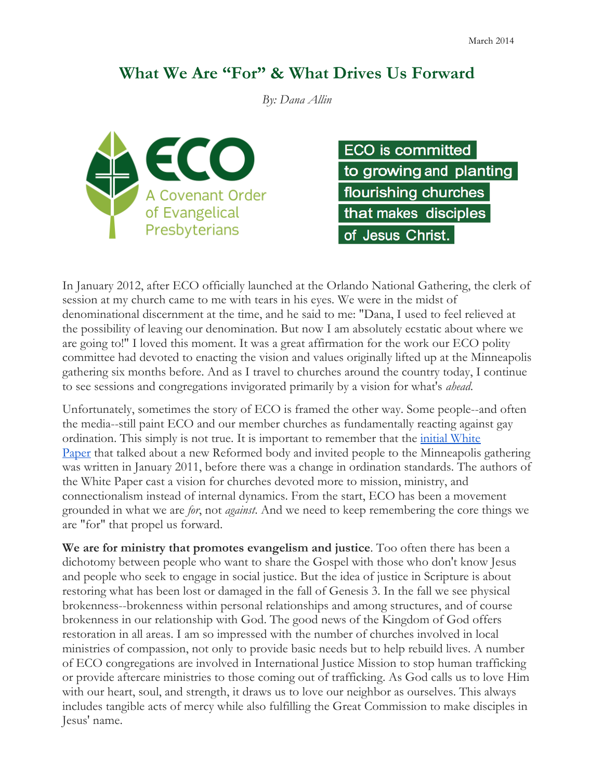## **What We Are "For" & What Drives Us Forward**

*By: Dana Allin*



| <b>ECO</b> is committed |
|-------------------------|
| to growing and planting |
| flourishing churches    |
| that makes disciples    |
| of Jesus Christ.        |

In January 2012, after ECO officially launched at the Orlando National Gathering, the clerk of session at my church came to me with tears in his eyes. We were in the midst of denominational discernment at the time, and he said to me: "Dana, I used to feel relieved at the possibility of leaving our denomination. But now I am absolutely ecstatic about where we are going to!" I loved this moment. It was a great affirmation for the work our ECO polity committee had devoted to enacting the vision and values originally lifted up at the Minneapolis gathering six months before. And as I travel to churches around the country today, I continue to see sessions and congregations invigorated primarily by a vision for what's *ahead*.

Unfortunately, sometimes the story of ECO is framed the other way. Some people--and often the media--still paint ECO and our member churches as fundamentally reacting against gay ordination. This simply is not true. It is important to remember that the *initial White* Paper that talked about a new Reformed body and invited people to the Minneapolis gathering was written in January 2011, before there was a change in ordination standards. The authors of the White Paper cast a vision for churches devoted more to mission, ministry, and connectionalism instead of internal dynamics. From the start, ECO has been a movement grounded in what we are *for*, not *against*. And we need to keep remembering the core things we are "for" that propel us forward.

**We are for ministry that promotes evangelism and justice**. Too often there has been a dichotomy between people who want to share the Gospel with those who don't know Jesus and people who seek to engage in social justice. But the idea of justice in Scripture is about restoring what has been lost or damaged in the fall of Genesis 3. In the fall we see physical brokenness--brokenness within personal relationships and among structures, and of course brokenness in our relationship with God. The good news of the Kingdom of God offers restoration in all areas. I am so impressed with the number of churches involved in local ministries of compassion, not only to provide basic needs but to help rebuild lives. A number of ECO congregations are involved in International Justice Mission to stop human trafficking or provide aftercare ministries to those coming out of trafficking. As God calls us to love Him with our heart, soul, and strength, it draws us to love our neighbor as ourselves. This always includes tangible acts of mercy while also fulfilling the Great Commission to make disciples in Jesus' name.